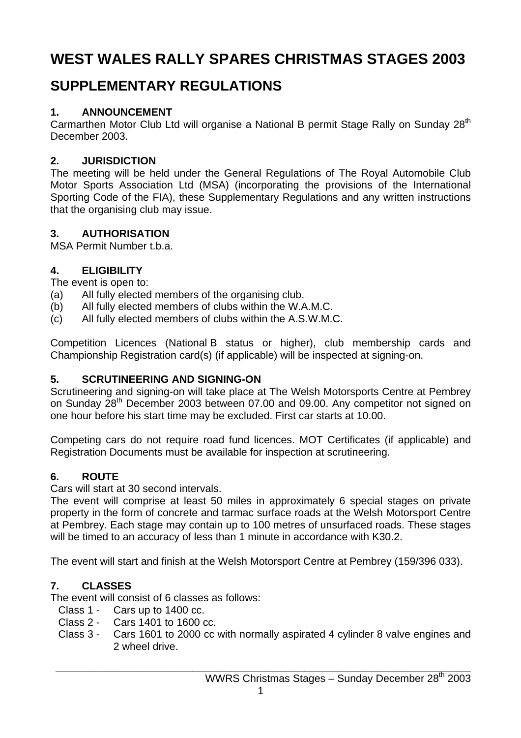# **WEST WALES RALLY SPARES CHRISTMAS STAGES 2003**

## **SUPPLEMENTARY REGULATIONS**

## **1. ANNOUNCEMENT**

Carmarthen Motor Club Ltd will organise a National B permit Stage Rally on Sunday 28<sup>th</sup> December 2003.

## **2. JURISDICTION**

The meeting will be held under the General Regulations of The Royal Automobile Club Motor Sports Association Ltd (MSA) (incorporating the provisions of the International Sporting Code of the FIA), these Supplementary Regulations and any written instructions that the organising club may issue.

## **3. AUTHORISATION**

MSA Permit Number t.b.a.

## **4. ELIGIBILITY**

The event is open to:

- (a) All fully elected members of the organising club.
- (b) All fully elected members of clubs within the W.A.M.C.
- (c) All fully elected members of clubs within the A.S.W.M.C.

Competition Licences (National B status or higher), club membership cards and Championship Registration card(s) (if applicable) will be inspected at signing-on.

## **5. SCRUTINEERING AND SIGNING-ON**

Scrutineering and signing-on will take place at The Welsh Motorsports Centre at Pembrey on Sunday 28<sup>th</sup> December 2003 between 07.00 and 09.00. Any competitor not signed on one hour before his start time may be excluded. First car starts at 10.00.

Competing cars do not require road fund licences. MOT Certificates (if applicable) and Registration Documents must be available for inspection at scrutineering.

## **6. ROUTE**

Cars will start at 30 second intervals.

The event will comprise at least 50 miles in approximately 6 special stages on private property in the form of concrete and tarmac surface roads at the Welsh Motorsport Centre at Pembrey. Each stage may contain up to 100 metres of unsurfaced roads. These stages will be timed to an accuracy of less than 1 minute in accordance with K30.2.

The event will start and finish at the Welsh Motorsport Centre at Pembrey (159/396 033).

## **7. CLASSES**

The event will consist of 6 classes as follows:

Class 1 - Cars up to 1400 cc.

- Class 2 Cars 1401 to 1600 cc.
- Class 3 Cars 1601 to 2000 cc with normally aspirated 4 cylinder 8 valve engines and 2 wheel drive.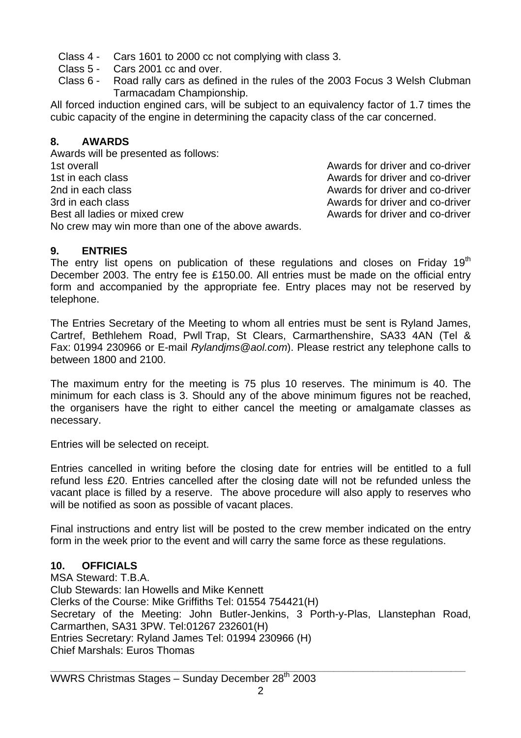- Class 4 Cars 1601 to 2000 cc not complying with class 3.
- Class 5 Cars 2001 cc and over.
- Class 6 Road rally cars as defined in the rules of the 2003 Focus 3 Welsh Clubman Tarmacadam Championship.

All forced induction engined cars, will be subject to an equivalency factor of 1.7 times the cubic capacity of the engine in determining the capacity class of the car concerned.

#### **8. AWARDS**

Awards will be presented as follows: 1st overall Awards for driver and co-driver 1st in each class **Awards for driver and co-driver** the state of the Awards for driver and co-driver 2nd in each class **Awards for driver and co-driver** 2nd in each class Awards for driver and co-driver 3rd in each class Awards for driver and co-driver Best all ladies or mixed crew Awards for driver and co-driver No crew may win more than one of the above awards.

#### **9. ENTRIES**

The entry list opens on publication of these regulations and closes on Friday 19 $<sup>th</sup>$ </sup> December 2003. The entry fee is £150.00. All entries must be made on the official entry form and accompanied by the appropriate fee. Entry places may not be reserved by telephone.

The Entries Secretary of the Meeting to whom all entries must be sent is Ryland James, Cartref, Bethlehem Road, Pwll Trap, St Clears, Carmarthenshire, SA33 4AN (Tel & Fax: 01994 230966 or E-mail *Rylandjms@aol.com*). Please restrict any telephone calls to between 1800 and 2100.

The maximum entry for the meeting is 75 plus 10 reserves. The minimum is 40. The minimum for each class is 3. Should any of the above minimum figures not be reached, the organisers have the right to either cancel the meeting or amalgamate classes as necessary.

Entries will be selected on receipt.

Entries cancelled in writing before the closing date for entries will be entitled to a full refund less £20. Entries cancelled after the closing date will not be refunded unless the vacant place is filled by a reserve. The above procedure will also apply to reserves who will be notified as soon as possible of vacant places.

Final instructions and entry list will be posted to the crew member indicated on the entry form in the week prior to the event and will carry the same force as these regulations.

#### **10. OFFICIALS**

MSA Steward: T.B.A. Club Stewards: Ian Howells and Mike Kennett Clerks of the Course: Mike Griffiths Tel: 01554 754421(H) Secretary of the Meeting: John Butler-Jenkins, 3 Porth-y-Plas, Llanstephan Road, Carmarthen, SA31 3PW. Tel:01267 232601(H) Entries Secretary: Ryland James Tel: 01994 230966 (H) Chief Marshals: Euros Thomas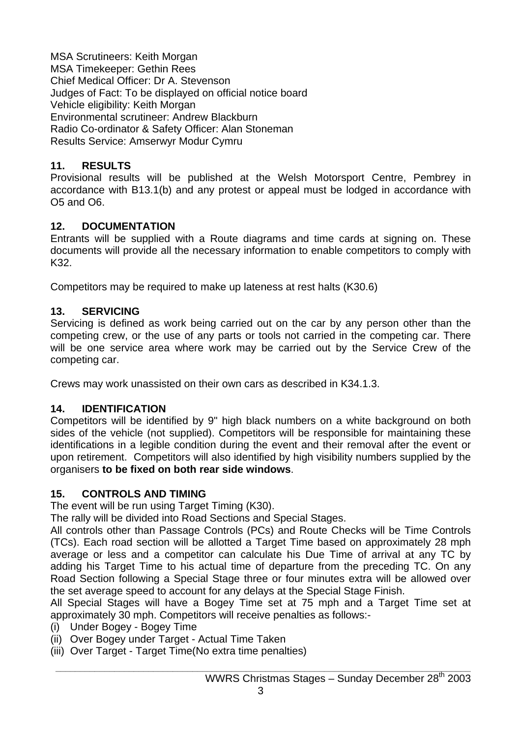MSA Scrutineers: Keith Morgan MSA Timekeeper: Gethin Rees Chief Medical Officer: Dr A. Stevenson Judges of Fact: To be displayed on official notice board Vehicle eligibility: Keith Morgan Environmental scrutineer: Andrew Blackburn Radio Co-ordinator & Safety Officer: Alan Stoneman Results Service: Amserwyr Modur Cymru

#### **11. RESULTS**

Provisional results will be published at the Welsh Motorsport Centre, Pembrey in accordance with B13.1(b) and any protest or appeal must be lodged in accordance with O5 and O6.

#### **12. DOCUMENTATION**

Entrants will be supplied with a Route diagrams and time cards at signing on. These documents will provide all the necessary information to enable competitors to comply with K32.

Competitors may be required to make up lateness at rest halts (K30.6)

#### **13. SERVICING**

Servicing is defined as work being carried out on the car by any person other than the competing crew, or the use of any parts or tools not carried in the competing car. There will be one service area where work may be carried out by the Service Crew of the competing car.

Crews may work unassisted on their own cars as described in K34.1.3.

#### **14. IDENTIFICATION**

Competitors will be identified by 9" high black numbers on a white background on both sides of the vehicle (not supplied). Competitors will be responsible for maintaining these identifications in a legible condition during the event and their removal after the event or upon retirement. Competitors will also identified by high visibility numbers supplied by the organisers **to be fixed on both rear side windows**.

#### **15. CONTROLS AND TIMING**

The event will be run using Target Timing (K30).

The rally will be divided into Road Sections and Special Stages.

All controls other than Passage Controls (PCs) and Route Checks will be Time Controls (TCs). Each road section will be allotted a Target Time based on approximately 28 mph average or less and a competitor can calculate his Due Time of arrival at any TC by adding his Target Time to his actual time of departure from the preceding TC. On any Road Section following a Special Stage three or four minutes extra will be allowed over the set average speed to account for any delays at the Special Stage Finish.

All Special Stages will have a Bogey Time set at 75 mph and a Target Time set at approximately 30 mph. Competitors will receive penalties as follows:-

- (i) Under Bogey Bogey Time
- (ii) Over Bogey under Target Actual Time Taken
- (iii) Over Target Target Time(No extra time penalties)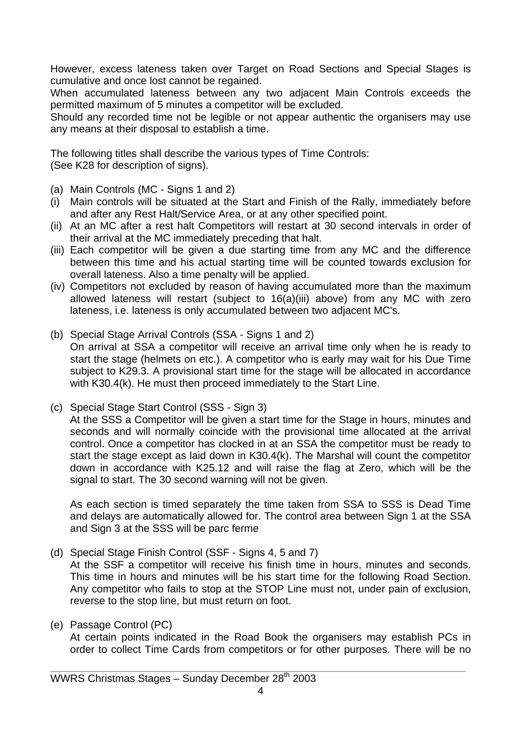However, excess lateness taken over Target on Road Sections and Special Stages is cumulative and once lost cannot be regained.

When accumulated lateness between any two adjacent Main Controls exceeds the permitted maximum of 5 minutes a competitor will be excluded.

Should any recorded time not be legible or not appear authentic the organisers may use any means at their disposal to establish a time.

The following titles shall describe the various types of Time Controls: (See K28 for description of signs).

(a) Main Controls (MC - Signs 1 and 2)

- (i) Main controls will be situated at the Start and Finish of the Rally, immediately before and after any Rest Halt/Service Area, or at any other specified point.
- (ii) At an MC after a rest halt Competitors will restart at 30 second intervals in order of their arrival at the MC immediately preceding that halt.
- (iii) Each competitor will be given a due starting time from any MC and the difference between this time and his actual starting time will be counted towards exclusion for overall lateness. Also a time penalty will be applied.
- (iv) Competitors not excluded by reason of having accumulated more than the maximum allowed lateness will restart (subject to 16(a)(iii) above) from any MC with zero lateness, i.e. lateness is only accumulated between two adjacent MC's.
- (b) Special Stage Arrival Controls (SSA Signs 1 and 2) On arrival at SSA a competitor will receive an arrival time only when he is ready to start the stage (helmets on etc.). A competitor who is early may wait for his Due Time subject to K29.3. A provisional start time for the stage will be allocated in accordance with K30.4(k). He must then proceed immediately to the Start Line.
- (c) Special Stage Start Control (SSS Sign 3)

 At the SSS a Competitor will be given a start time for the Stage in hours, minutes and seconds and will normally coincide with the provisional time allocated at the arrival control. Once a competitor has clocked in at an SSA the competitor must be ready to start the stage except as laid down in K30.4(k). The Marshal will count the competitor down in accordance with K25.12 and will raise the flag at Zero, which will be the signal to start. The 30 second warning will not be given.

 As each section is timed separately the time taken from SSA to SSS is Dead Time and delays are automatically allowed for. The control area between Sign 1 at the SSA and Sign 3 at the SSS will be parc ferme

(d) Special Stage Finish Control (SSF - Signs 4, 5 and 7)

 At the SSF a competitor will receive his finish time in hours, minutes and seconds. This time in hours and minutes will be his start time for the following Road Section. Any competitor who fails to stop at the STOP Line must not, under pain of exclusion, reverse to the stop line, but must return on foot.

(e) Passage Control (PC)

 At certain points indicated in the Road Book the organisers may establish PCs in order to collect Time Cards from competitors or for other purposes. There will be no

**\_\_\_\_\_\_\_\_\_\_\_\_\_\_\_\_\_\_\_\_\_\_\_\_\_\_\_\_\_\_\_\_\_\_\_\_\_\_\_\_\_\_\_\_\_\_\_\_\_\_\_\_\_\_\_\_\_\_\_\_\_\_\_\_\_\_\_\_\_\_\_\_\_\_\_\_\_\_\_\_\_\_\_\_\_**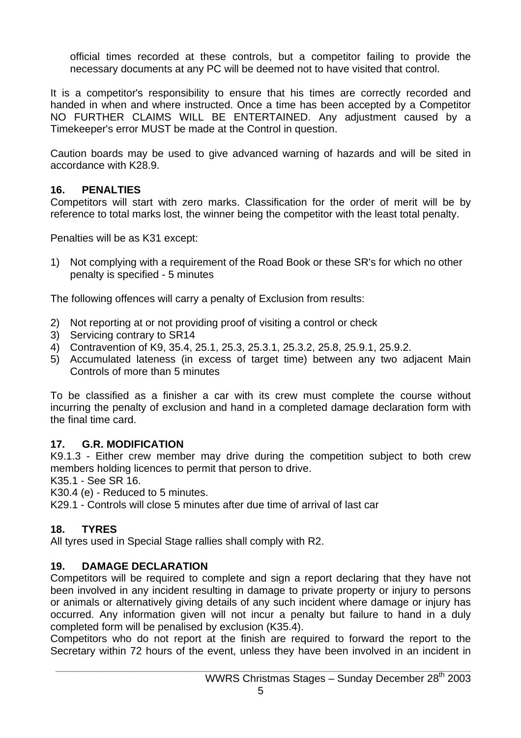official times recorded at these controls, but a competitor failing to provide the necessary documents at any PC will be deemed not to have visited that control.

It is a competitor's responsibility to ensure that his times are correctly recorded and handed in when and where instructed. Once a time has been accepted by a Competitor NO FURTHER CLAIMS WILL BE ENTERTAINED. Any adjustment caused by a Timekeeper's error MUST be made at the Control in question.

Caution boards may be used to give advanced warning of hazards and will be sited in accordance with K28.9.

#### **16. PENALTIES**

Competitors will start with zero marks. Classification for the order of merit will be by reference to total marks lost, the winner being the competitor with the least total penalty.

Penalties will be as K31 except:

1) Not complying with a requirement of the Road Book or these SR's for which no other penalty is specified - 5 minutes

The following offences will carry a penalty of Exclusion from results:

- 2) Not reporting at or not providing proof of visiting a control or check
- 3) Servicing contrary to SR14
- 4) Contravention of K9, 35.4, 25.1, 25.3, 25.3.1, 25.3.2, 25.8, 25.9.1, 25.9.2.
- 5) Accumulated lateness (in excess of target time) between any two adjacent Main Controls of more than 5 minutes

To be classified as a finisher a car with its crew must complete the course without incurring the penalty of exclusion and hand in a completed damage declaration form with the final time card.

#### **17. G.R. MODIFICATION**

K9.1.3 - Either crew member may drive during the competition subject to both crew members holding licences to permit that person to drive.

K35.1 - See SR 16.

K30.4 (e) - Reduced to 5 minutes.

K29.1 - Controls will close 5 minutes after due time of arrival of last car

## **18. TYRES**

All tyres used in Special Stage rallies shall comply with R2.

#### **19. DAMAGE DECLARATION**

Competitors will be required to complete and sign a report declaring that they have not been involved in any incident resulting in damage to private property or injury to persons or animals or alternatively giving details of any such incident where damage or injury has occurred. Any information given will not incur a penalty but failure to hand in a duly completed form will be penalised by exclusion (K35.4).

Competitors who do not report at the finish are required to forward the report to the Secretary within 72 hours of the event, unless they have been involved in an incident in

**\_\_\_\_\_\_\_\_\_\_\_\_\_\_\_\_\_\_\_\_\_\_\_\_\_\_\_\_\_\_\_\_\_\_\_\_\_\_\_\_\_\_\_\_\_\_\_\_\_\_\_\_\_\_\_\_\_\_\_\_\_\_\_\_\_\_\_\_\_\_\_\_\_\_\_\_\_\_\_\_\_\_\_\_\_**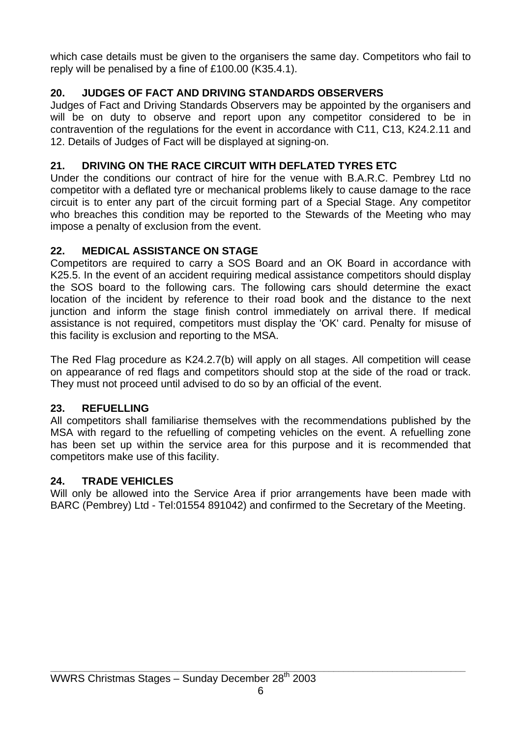which case details must be given to the organisers the same day. Competitors who fail to reply will be penalised by a fine of £100.00 (K35.4.1).

## **20. JUDGES OF FACT AND DRIVING STANDARDS OBSERVERS**

Judges of Fact and Driving Standards Observers may be appointed by the organisers and will be on duty to observe and report upon any competitor considered to be in contravention of the regulations for the event in accordance with C11, C13, K24.2.11 and 12. Details of Judges of Fact will be displayed at signing-on.

## **21. DRIVING ON THE RACE CIRCUIT WITH DEFLATED TYRES ETC**

Under the conditions our contract of hire for the venue with B.A.R.C. Pembrey Ltd no competitor with a deflated tyre or mechanical problems likely to cause damage to the race circuit is to enter any part of the circuit forming part of a Special Stage. Any competitor who breaches this condition may be reported to the Stewards of the Meeting who may impose a penalty of exclusion from the event.

## **22. MEDICAL ASSISTANCE ON STAGE**

Competitors are required to carry a SOS Board and an OK Board in accordance with K25.5. In the event of an accident requiring medical assistance competitors should display the SOS board to the following cars. The following cars should determine the exact location of the incident by reference to their road book and the distance to the next junction and inform the stage finish control immediately on arrival there. If medical assistance is not required, competitors must display the 'OK' card. Penalty for misuse of this facility is exclusion and reporting to the MSA.

The Red Flag procedure as K24.2.7(b) will apply on all stages. All competition will cease on appearance of red flags and competitors should stop at the side of the road or track. They must not proceed until advised to do so by an official of the event.

## **23. REFUELLING**

All competitors shall familiarise themselves with the recommendations published by the MSA with regard to the refuelling of competing vehicles on the event. A refuelling zone has been set up within the service area for this purpose and it is recommended that competitors make use of this facility.

## **24. TRADE VEHICLES**

Will only be allowed into the Service Area if prior arrangements have been made with BARC (Pembrey) Ltd - Tel:01554 891042) and confirmed to the Secretary of the Meeting.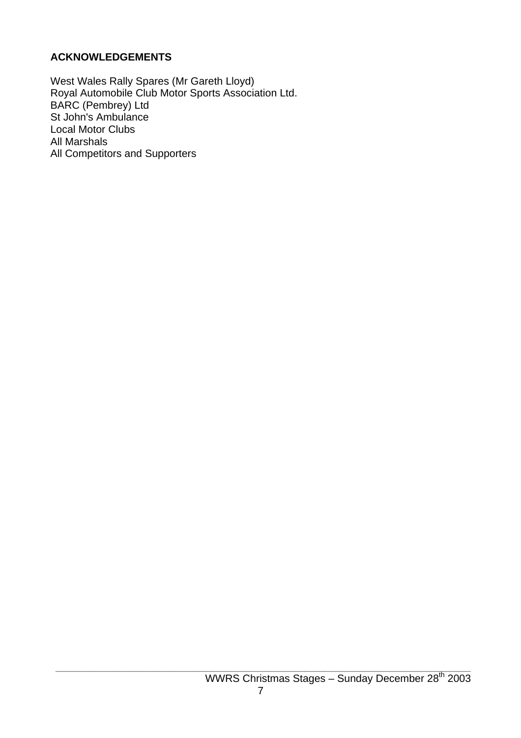#### **ACKNOWLEDGEMENTS**

West Wales Rally Spares (Mr Gareth Lloyd) Royal Automobile Club Motor Sports Association Ltd. BARC (Pembrey) Ltd St John's Ambulance Local Motor Clubs All Marshals All Competitors and Supporters

**\_\_\_\_\_\_\_\_\_\_\_\_\_\_\_\_\_\_\_\_\_\_\_\_\_\_\_\_\_\_\_\_\_\_\_\_\_\_\_\_\_\_\_\_\_\_\_\_\_\_\_\_\_\_\_\_\_\_\_\_\_\_\_\_\_\_\_\_\_\_\_\_\_\_\_\_\_\_\_\_\_\_\_\_\_**